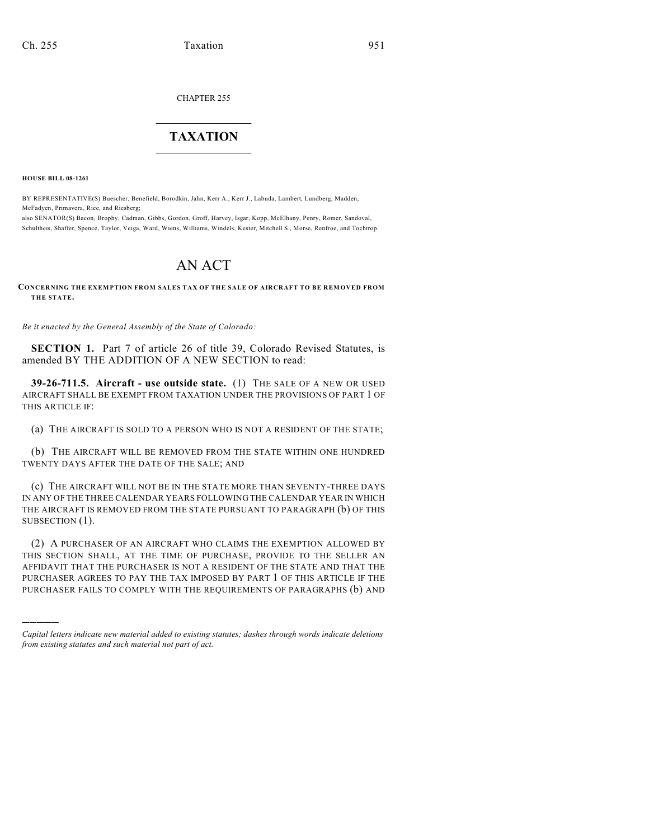CHAPTER 255

## $\mathcal{L}_\text{max}$  . The set of the set of the set of the set of the set of the set of the set of the set of the set of the set of the set of the set of the set of the set of the set of the set of the set of the set of the set **TAXATION**  $\_$

**HOUSE BILL 08-1261**

)))))

BY REPRESENTATIVE(S) Buescher, Benefield, Borodkin, Jahn, Kerr A., Kerr J., Labuda, Lambert, Lundberg, Madden, McFadyen, Primavera, Rice, and Riesberg;

also SENATOR(S) Bacon, Brophy, Cadman, Gibbs, Gordon, Groff, Harvey, Isgar, Kopp, McElhany, Penry, Romer, Sandoval, Schultheis, Shaffer, Spence, Taylor, Veiga, Ward, Wiens, Williams, Windels, Kester, Mitchell S., Morse, Renfroe, and Tochtrop.

## AN ACT

**CONCERNING THE EXEMPTION FROM SALES TAX OF THE SALE OF AIRCRAFT TO BE REMOVED FROM THE STATE.**

*Be it enacted by the General Assembly of the State of Colorado:*

**SECTION 1.** Part 7 of article 26 of title 39, Colorado Revised Statutes, is amended BY THE ADDITION OF A NEW SECTION to read:

**39-26-711.5. Aircraft - use outside state.** (1) THE SALE OF A NEW OR USED AIRCRAFT SHALL BE EXEMPT FROM TAXATION UNDER THE PROVISIONS OF PART 1 OF THIS ARTICLE IF:

(a) THE AIRCRAFT IS SOLD TO A PERSON WHO IS NOT A RESIDENT OF THE STATE;

(b) THE AIRCRAFT WILL BE REMOVED FROM THE STATE WITHIN ONE HUNDRED TWENTY DAYS AFTER THE DATE OF THE SALE; AND

(c) THE AIRCRAFT WILL NOT BE IN THE STATE MORE THAN SEVENTY-THREE DAYS IN ANY OF THE THREE CALENDAR YEARS FOLLOWING THE CALENDAR YEAR IN WHICH THE AIRCRAFT IS REMOVED FROM THE STATE PURSUANT TO PARAGRAPH (b) OF THIS SUBSECTION (1).

(2) A PURCHASER OF AN AIRCRAFT WHO CLAIMS THE EXEMPTION ALLOWED BY THIS SECTION SHALL, AT THE TIME OF PURCHASE, PROVIDE TO THE SELLER AN AFFIDAVIT THAT THE PURCHASER IS NOT A RESIDENT OF THE STATE AND THAT THE PURCHASER AGREES TO PAY THE TAX IMPOSED BY PART 1 OF THIS ARTICLE IF THE PURCHASER FAILS TO COMPLY WITH THE REQUIREMENTS OF PARAGRAPHS (b) AND

*Capital letters indicate new material added to existing statutes; dashes through words indicate deletions from existing statutes and such material not part of act.*